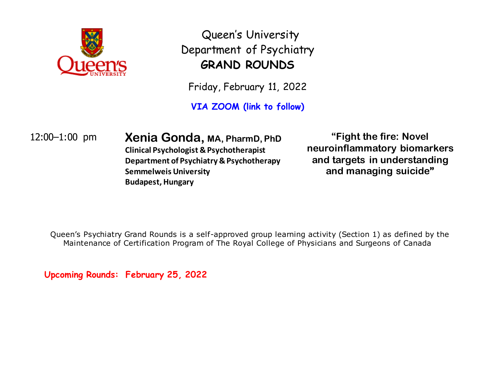

Queen's University Department of Psychiatry **GRAND ROUNDS**

Friday, February 11, 2022

**VIA ZOOM (link to follow)**

12:00–1:00 pm **Xenia Gonda, MA, PharmD, PhD Clinical Psychologist & Psychotherapist Department of Psychiatry & Psychotherapy Semmelweis University Budapest, Hungary**

**"Fight the fire: Novel neuroinflammatory biomarkers and targets in understanding and managing suicide"**

Queen's Psychiatry Grand Rounds is a self-approved group learning activity (Section 1) as defined by the Maintenance of Certification Program of The Royal College of Physicians and Surgeons of Canada

**Upcoming Rounds: February 25, 2022**